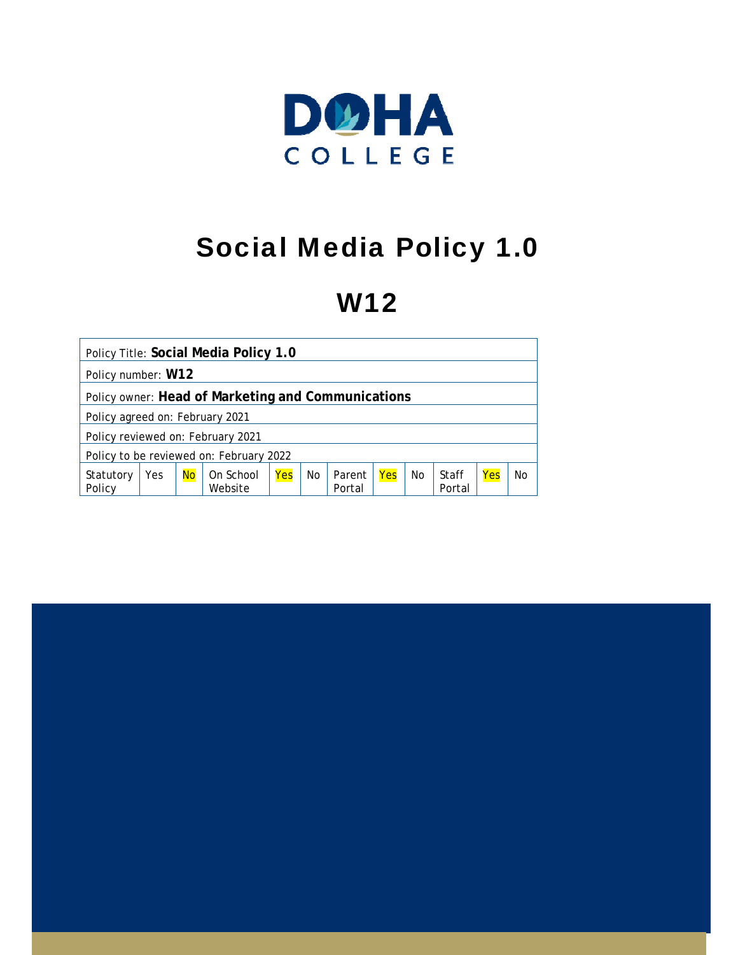

# Social Media Policy 1.0

# W12

|                                   |     |           | Policy Title: Social Media Policy 1.0              |     |                |                  |     |           |                 |     |    |
|-----------------------------------|-----|-----------|----------------------------------------------------|-----|----------------|------------------|-----|-----------|-----------------|-----|----|
| Policy number: W12                |     |           |                                                    |     |                |                  |     |           |                 |     |    |
|                                   |     |           | Policy owner: Head of Marketing and Communications |     |                |                  |     |           |                 |     |    |
| Policy agreed on: February 2021   |     |           |                                                    |     |                |                  |     |           |                 |     |    |
| Policy reviewed on: February 2021 |     |           |                                                    |     |                |                  |     |           |                 |     |    |
|                                   |     |           | Policy to be reviewed on: February 2022            |     |                |                  |     |           |                 |     |    |
| Statutory<br>Policy               | Yes | <b>No</b> | On School<br>Website                               | Yes | N <sub>0</sub> | Parent<br>Portal | Yes | <b>No</b> | Staff<br>Portal | Yes | No |

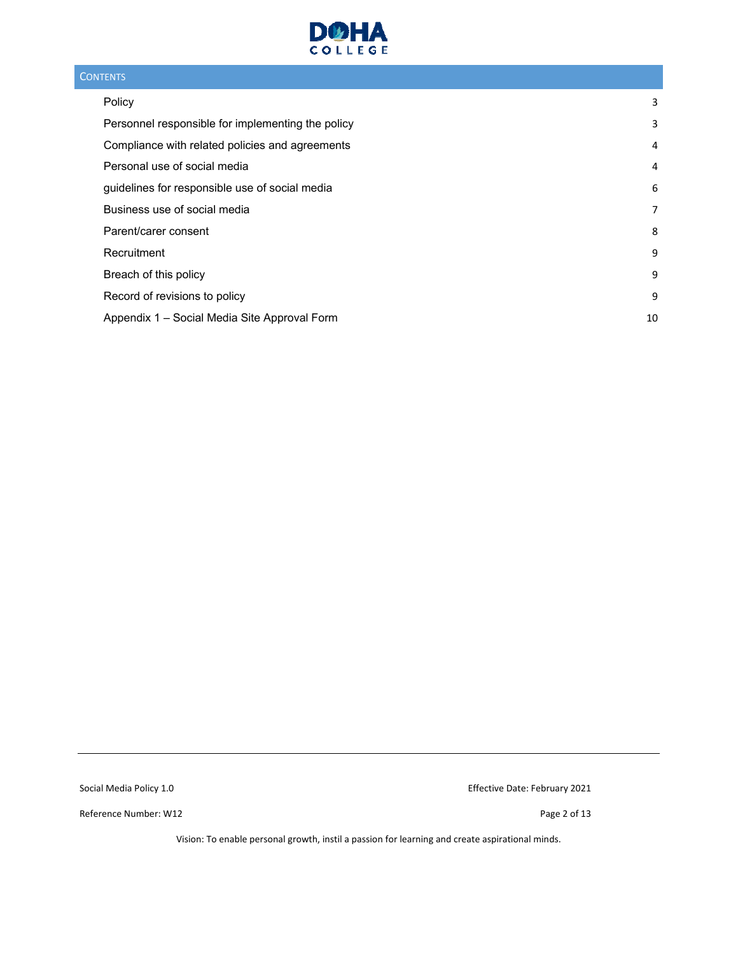

#### **CONTENTS**

| Policy                                            | 3  |
|---------------------------------------------------|----|
| Personnel responsible for implementing the policy | 3  |
| Compliance with related policies and agreements   | 4  |
| Personal use of social media                      | 4  |
| guidelines for responsible use of social media    | 6  |
| Business use of social media                      | 7  |
| Parent/carer consent                              | 8  |
| Recruitment                                       | 9  |
| Breach of this policy                             | 9  |
| Record of revisions to policy                     | 9  |
| Appendix 1 - Social Media Site Approval Form      | 10 |

Reference Number: W12 **Details and COVID-200** Page 2 of 13

Social Media Policy 1.0 **Social Media Policy 1.0 Effective Date: February 2021**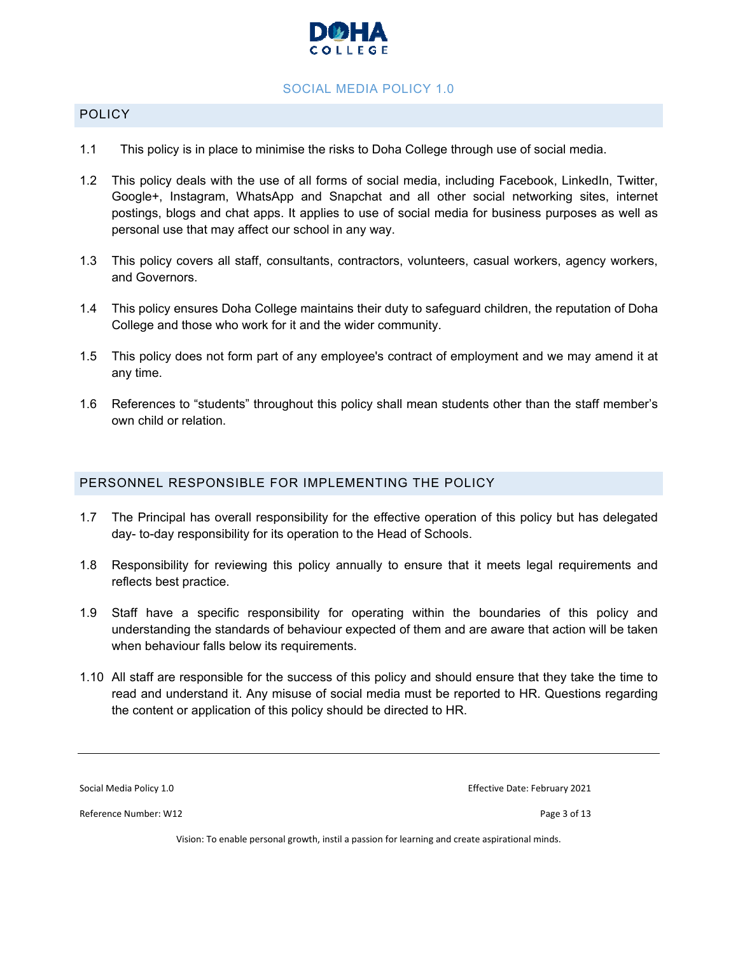

#### SOCIAL MEDIA POLICY 1.0

#### POLICY

- 1.1 This policy is in place to minimise the risks to Doha College through use of social media.
- 1.2 This policy deals with the use of all forms of social media, including Facebook, LinkedIn, Twitter, Google+, Instagram, WhatsApp and Snapchat and all other social networking sites, internet postings, blogs and chat apps. It applies to use of social media for business purposes as well as personal use that may affect our school in any way.
- 1.3 This policy covers all staff, consultants, contractors, volunteers, casual workers, agency workers, and Governors.
- 1.4 This policy ensures Doha College maintains their duty to safeguard children, the reputation of Doha College and those who work for it and the wider community.
- 1.5 This policy does not form part of any employee's contract of employment and we may amend it at any time.
- 1.6 References to "students" throughout this policy shall mean students other than the staff member's own child or relation.

#### PERSONNEL RESPONSIBLE FOR IMPLEMENTING THE POLICY

- 1.7 The Principal has overall responsibility for the effective operation of this policy but has delegated day- to-day responsibility for its operation to the Head of Schools.
- 1.8 Responsibility for reviewing this policy annually to ensure that it meets legal requirements and reflects best practice.
- 1.9 Staff have a specific responsibility for operating within the boundaries of this policy and understanding the standards of behaviour expected of them and are aware that action will be taken when behaviour falls below its requirements.
- 1.10 All staff are responsible for the success of this policy and should ensure that they take the time to read and understand it. Any misuse of social media must be reported to HR. Questions regarding the content or application of this policy should be directed to HR.

Social Media Policy 1.0 **Social Media Policy 1.0 Exercise 2021** Effective Date: February 2021

Reference Number: W12 **Details and COVID-200** Page 3 of 13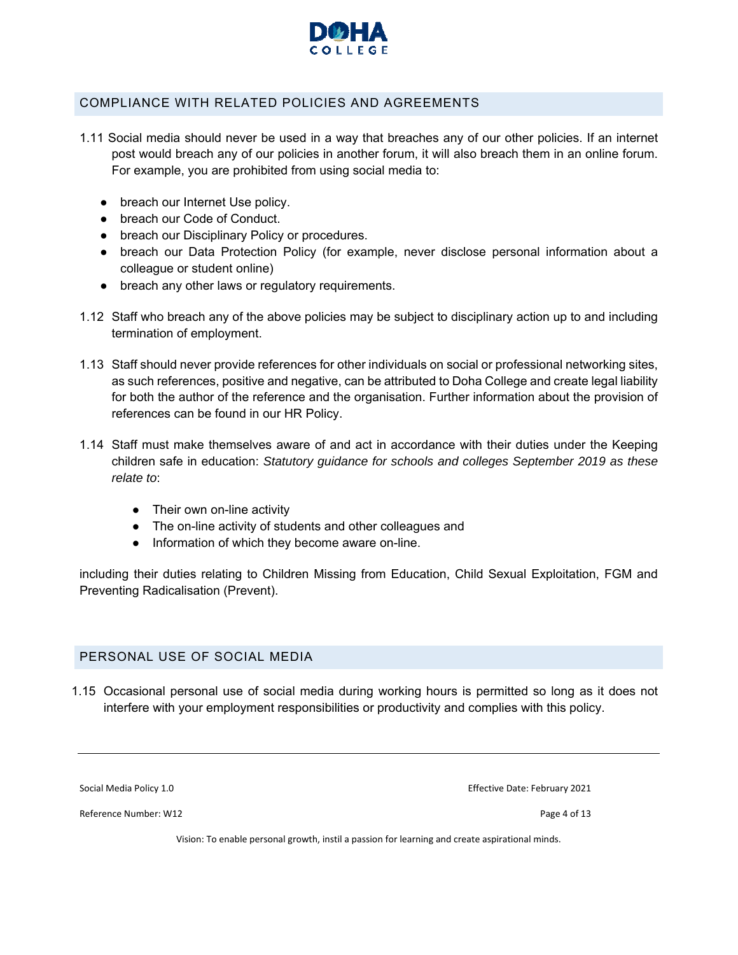

#### COMPLIANCE WITH RELATED POLICIES AND AGREEMENTS

- 1.11 Social media should never be used in a way that breaches any of our other policies. If an internet post would breach any of our policies in another forum, it will also breach them in an online forum. For example, you are prohibited from using social media to:
	- breach our Internet Use policy.
	- breach our Code of Conduct.
	- breach our Disciplinary Policy or procedures.
	- breach our Data Protection Policy (for example, never disclose personal information about a colleague or student online)
	- breach any other laws or regulatory requirements.
- 1.12 Staff who breach any of the above policies may be subject to disciplinary action up to and including termination of employment.
- 1.13 Staff should never provide references for other individuals on social or professional networking sites, as such references, positive and negative, can be attributed to Doha College and create legal liability for both the author of the reference and the organisation. Further information about the provision of references can be found in our HR Policy.
- 1.14 Staff must make themselves aware of and act in accordance with their duties under the Keeping children safe in education: *Statutory guidance for schools and colleges September 2019 as these relate to*:
	- Their own on-line activity
	- The on-line activity of students and other colleagues and
	- Information of which they become aware on-line.

including their duties relating to Children Missing from Education, Child Sexual Exploitation, FGM and Preventing Radicalisation (Prevent).

#### PERSONAL USE OF SOCIAL MEDIA

1.15 Occasional personal use of social media during working hours is permitted so long as it does not interfere with your employment responsibilities or productivity and complies with this policy.

Social Media Policy 1.0 **Bigger 2021 Contained Bullet Contains Contained Bullet Contains Contains Contains Contains Contains Contains Contains Contains Contains Contains Contains Contains Contains Contains Contains Conta** 

Reference Number: W12 **Details and COVID-200** Page 4 of 13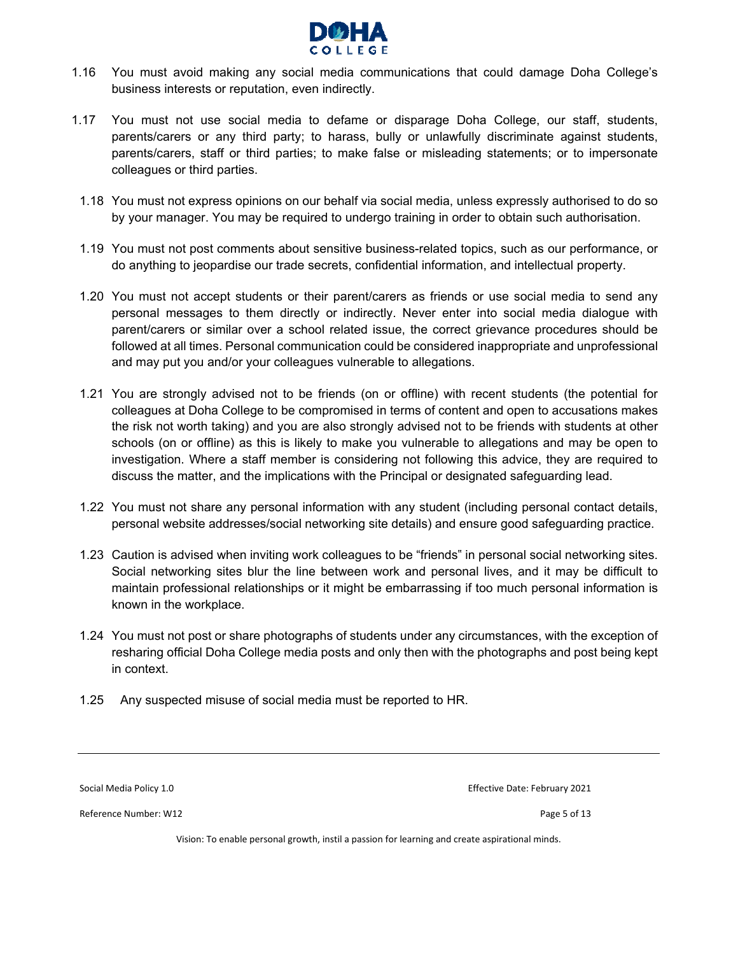

- 1.16 You must avoid making any social media communications that could damage Doha College's business interests or reputation, even indirectly.
- 1.17 You must not use social media to defame or disparage Doha College, our staff, students, parents/carers or any third party; to harass, bully or unlawfully discriminate against students, parents/carers, staff or third parties; to make false or misleading statements; or to impersonate colleagues or third parties.
	- 1.18 You must not express opinions on our behalf via social media, unless expressly authorised to do so by your manager. You may be required to undergo training in order to obtain such authorisation.
	- 1.19 You must not post comments about sensitive business-related topics, such as our performance, or do anything to jeopardise our trade secrets, confidential information, and intellectual property.
	- 1.20 You must not accept students or their parent/carers as friends or use social media to send any personal messages to them directly or indirectly. Never enter into social media dialogue with parent/carers or similar over a school related issue, the correct grievance procedures should be followed at all times. Personal communication could be considered inappropriate and unprofessional and may put you and/or your colleagues vulnerable to allegations.
	- 1.21 You are strongly advised not to be friends (on or offline) with recent students (the potential for colleagues at Doha College to be compromised in terms of content and open to accusations makes the risk not worth taking) and you are also strongly advised not to be friends with students at other schools (on or offline) as this is likely to make you vulnerable to allegations and may be open to investigation. Where a staff member is considering not following this advice, they are required to discuss the matter, and the implications with the Principal or designated safeguarding lead.
	- 1.22 You must not share any personal information with any student (including personal contact details, personal website addresses/social networking site details) and ensure good safeguarding practice.
	- 1.23 Caution is advised when inviting work colleagues to be "friends" in personal social networking sites. Social networking sites blur the line between work and personal lives, and it may be difficult to maintain professional relationships or it might be embarrassing if too much personal information is known in the workplace.
	- 1.24 You must not post or share photographs of students under any circumstances, with the exception of resharing official Doha College media posts and only then with the photographs and post being kept in context.
	- 1.25 Any suspected misuse of social media must be reported to HR.

Reference Number: W12 **Details and COVID-200** Page 5 of 13

Social Media Policy 1.0 **Social Media Policy 1.0 Exercise 2021** Effective Date: February 2021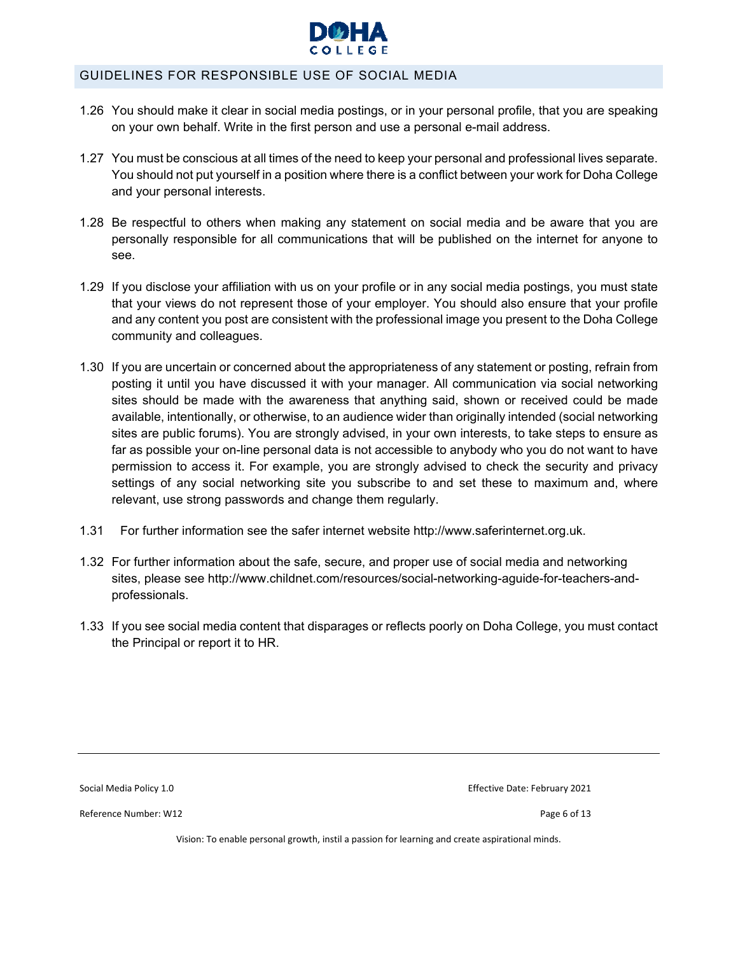

#### GUIDELINES FOR RESPONSIBLE USE OF SOCIAL MEDIA

- 1.26 You should make it clear in social media postings, or in your personal profile, that you are speaking on your own behalf. Write in the first person and use a personal e-mail address.
- 1.27 You must be conscious at all times of the need to keep your personal and professional lives separate. You should not put yourself in a position where there is a conflict between your work for Doha College and your personal interests.
- 1.28 Be respectful to others when making any statement on social media and be aware that you are personally responsible for all communications that will be published on the internet for anyone to see.
- 1.29 If you disclose your affiliation with us on your profile or in any social media postings, you must state that your views do not represent those of your employer. You should also ensure that your profile and any content you post are consistent with the professional image you present to the Doha College community and colleagues.
- 1.30 If you are uncertain or concerned about the appropriateness of any statement or posting, refrain from posting it until you have discussed it with your manager. All communication via social networking sites should be made with the awareness that anything said, shown or received could be made available, intentionally, or otherwise, to an audience wider than originally intended (social networking sites are public forums). You are strongly advised, in your own interests, to take steps to ensure as far as possible your on-line personal data is not accessible to anybody who you do not want to have permission to access it. For example, you are strongly advised to check the security and privacy settings of any social networking site you subscribe to and set these to maximum and, where relevant, use strong passwords and change them regularly.
- 1.31 For further information see the safer internet website http://www.saferinternet.org.uk.
- 1.32 For further information about the safe, secure, and proper use of social media and networking sites, please see http://www.childnet.com/resources/social-networking-aguide-for-teachers-andprofessionals.
- 1.33 If you see social media content that disparages or reflects poorly on Doha College, you must contact the Principal or report it to HR.

Reference Number: W12 **Details and COVID-200** Page 6 of 13

Social Media Policy 1.0 **Bigger 2021 Contained Bullet Contains Contained Bullet Contains Contains Contains Contains Contains Contains Contains Contains Contains Contains Contains Contains Contains Contains Contains Conta**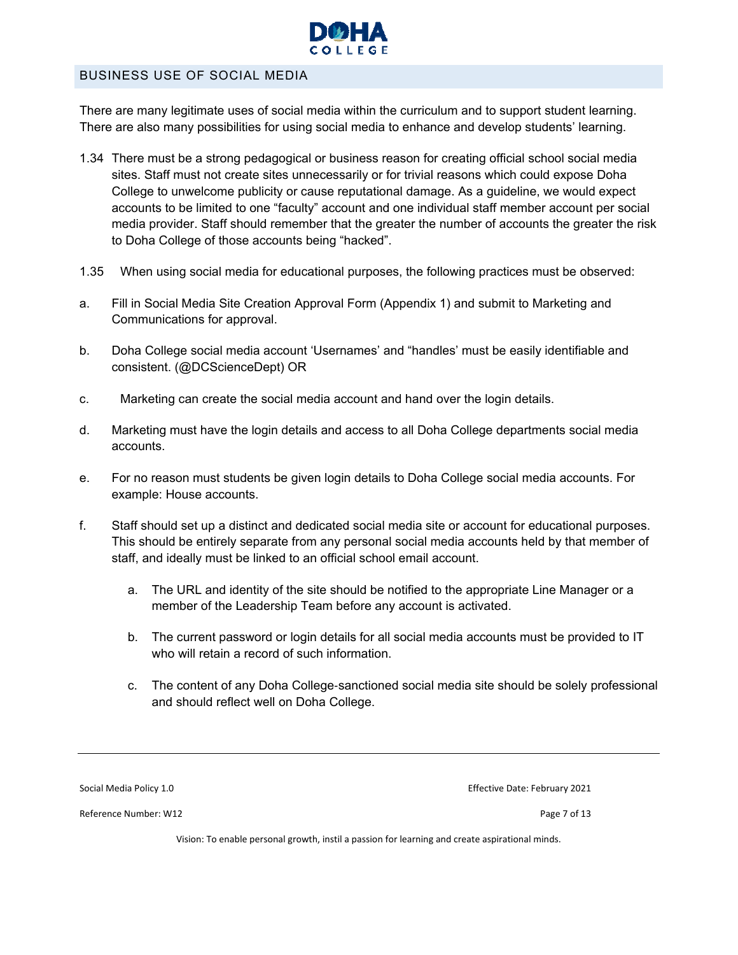

#### BUSINESS USE OF SOCIAL MEDIA

There are many legitimate uses of social media within the curriculum and to support student learning. There are also many possibilities for using social media to enhance and develop students' learning.

- 1.34 There must be a strong pedagogical or business reason for creating official school social media sites. Staff must not create sites unnecessarily or for trivial reasons which could expose Doha College to unwelcome publicity or cause reputational damage. As a guideline, we would expect accounts to be limited to one "faculty" account and one individual staff member account per social media provider. Staff should remember that the greater the number of accounts the greater the risk to Doha College of those accounts being "hacked".
- 1.35 When using social media for educational purposes, the following practices must be observed:
- a. Fill in Social Media Site Creation Approval Form (Appendix 1) and submit to Marketing and Communications for approval.
- b. Doha College social media account 'Usernames' and "handles' must be easily identifiable and consistent. (@DCScienceDept) OR
- c. Marketing can create the social media account and hand over the login details.
- d. Marketing must have the login details and access to all Doha College departments social media accounts.
- e. For no reason must students be given login details to Doha College social media accounts. For example: House accounts.
- f. Staff should set up a distinct and dedicated social media site or account for educational purposes. This should be entirely separate from any personal social media accounts held by that member of staff, and ideally must be linked to an official school email account.
	- a. The URL and identity of the site should be notified to the appropriate Line Manager or a member of the Leadership Team before any account is activated.
	- b. The current password or login details for all social media accounts must be provided to IT who will retain a record of such information.
	- c. The content of any Doha College-sanctioned social media site should be solely professional and should reflect well on Doha College.

Reference Number: W12 **Details and COVID-200** Page 7 of 13

Social Media Policy 1.0 **Social Media Policy 1.0 Exercise 2021** Effective Date: February 2021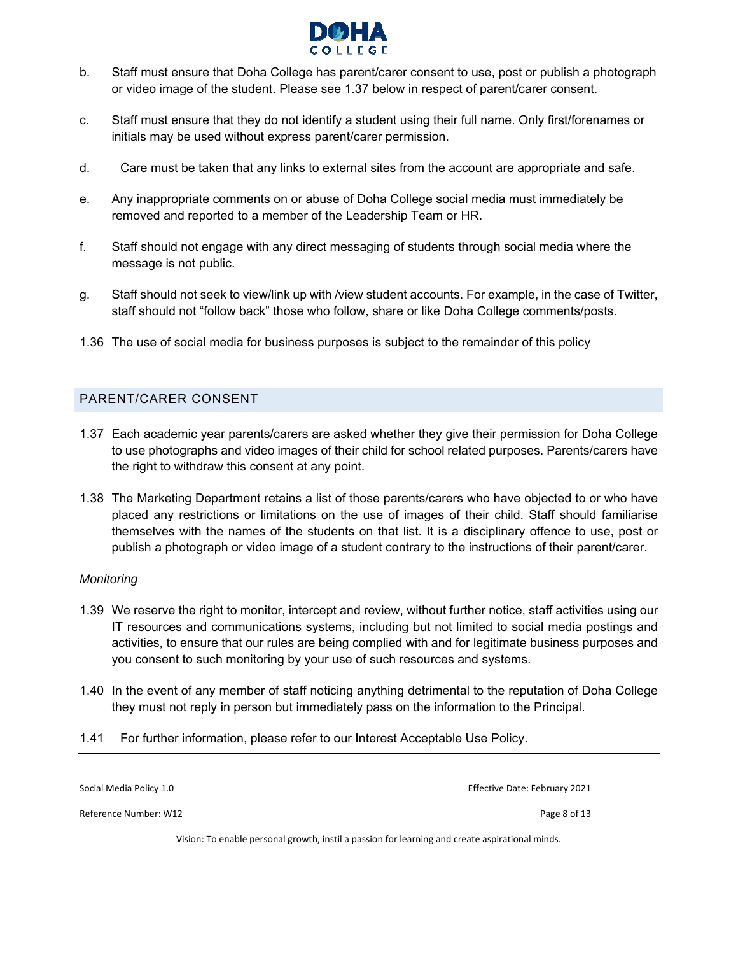

- b. Staff must ensure that Doha College has parent/carer consent to use, post or publish a photograph or video image of the student. Please see 1.37 below in respect of parent/carer consent.
- c. Staff must ensure that they do not identify a student using their full name. Only first/forenames or initials may be used without express parent/carer permission.
- d. Care must be taken that any links to external sites from the account are appropriate and safe.
- e. Any inappropriate comments on or abuse of Doha College social media must immediately be removed and reported to a member of the Leadership Team or HR.
- f. Staff should not engage with any direct messaging of students through social media where the message is not public.
- g. Staff should not seek to view/link up with /view student accounts. For example, in the case of Twitter, staff should not "follow back" those who follow, share or like Doha College comments/posts.
- 1.36 The use of social media for business purposes is subject to the remainder of this policy

#### PARENT/CARER CONSENT

- 1.37 Each academic year parents/carers are asked whether they give their permission for Doha College to use photographs and video images of their child for school related purposes. Parents/carers have the right to withdraw this consent at any point.
- 1.38 The Marketing Department retains a list of those parents/carers who have objected to or who have placed any restrictions or limitations on the use of images of their child. Staff should familiarise themselves with the names of the students on that list. It is a disciplinary offence to use, post or publish a photograph or video image of a student contrary to the instructions of their parent/carer.

#### *Monitoring*

- 1.39 We reserve the right to monitor, intercept and review, without further notice, staff activities using our IT resources and communications systems, including but not limited to social media postings and activities, to ensure that our rules are being complied with and for legitimate business purposes and you consent to such monitoring by your use of such resources and systems.
- 1.40 In the event of any member of staff noticing anything detrimental to the reputation of Doha College they must not reply in person but immediately pass on the information to the Principal.
- 1.41 For further information, please refer to our Interest Acceptable Use Policy.

Social Media Policy 1.0 **Bigger 2021 Contained Bullet Contains Contained Bullet Contains Contains Contains Contains Contains Contains Contains Contains Contains Contains Contains Contains Contains Contains Contains Conta** Reference Number: W12 **Details and COVID-200** Page 8 of 13 Vision: To enable personal growth, instil a passion for learning and create aspirational minds.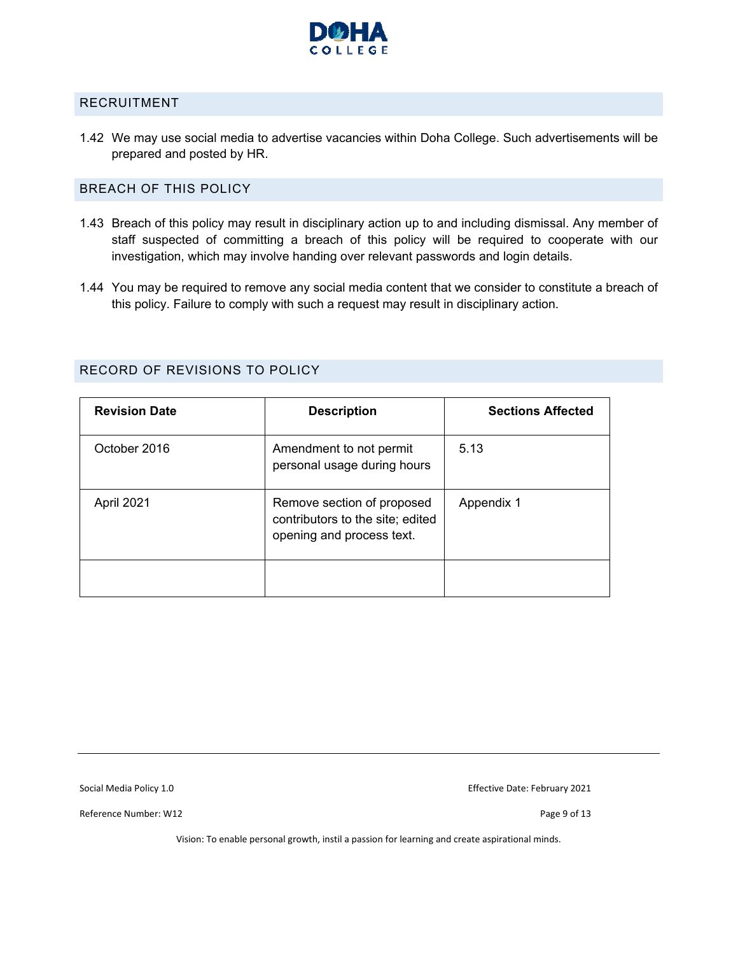

#### RECRUITMENT

1.42 We may use social media to advertise vacancies within Doha College. Such advertisements will be prepared and posted by HR.

#### BREACH OF THIS POLICY

- 1.43 Breach of this policy may result in disciplinary action up to and including dismissal. Any member of staff suspected of committing a breach of this policy will be required to cooperate with our investigation, which may involve handing over relevant passwords and login details.
- 1.44 You may be required to remove any social media content that we consider to constitute a breach of this policy. Failure to comply with such a request may result in disciplinary action.

| <b>Revision Date</b> | <b>Description</b>                                                                          | <b>Sections Affected</b> |
|----------------------|---------------------------------------------------------------------------------------------|--------------------------|
| October 2016         | Amendment to not permit<br>personal usage during hours                                      | 5.13                     |
| April 2021           | Remove section of proposed<br>contributors to the site; edited<br>opening and process text. | Appendix 1               |
|                      |                                                                                             |                          |

#### RECORD OF REVISIONS TO POLICY

Reference Number: W12 **Details and COVID-200** Page 9 of 13

Social Media Policy 1.0 **Social Media Policy 1.0 Effective Date: February 2021**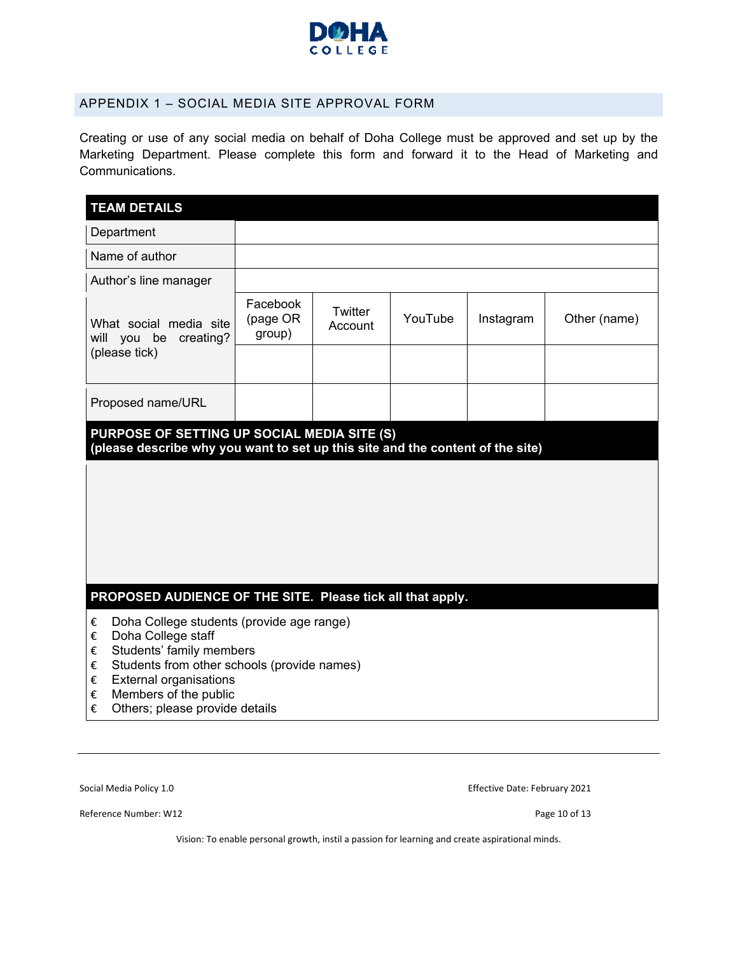

#### APPENDIX 1 – SOCIAL MEDIA SITE APPROVAL FORM

Creating or use of any social media on behalf of Doha College must be approved and set up by the Marketing Department. Please complete this form and forward it to the Head of Marketing and Communications.

| <b>TEAM DETAILS</b>                                                                                                                                                                                                                                                       |                                |                    |         |           |              |
|---------------------------------------------------------------------------------------------------------------------------------------------------------------------------------------------------------------------------------------------------------------------------|--------------------------------|--------------------|---------|-----------|--------------|
| Department                                                                                                                                                                                                                                                                |                                |                    |         |           |              |
| Name of author                                                                                                                                                                                                                                                            |                                |                    |         |           |              |
| Author's line manager                                                                                                                                                                                                                                                     |                                |                    |         |           |              |
| What social media site<br>will you be<br>creating?                                                                                                                                                                                                                        | Facebook<br>(page OR<br>group) | Twitter<br>Account | YouTube | Instagram | Other (name) |
| (please tick)                                                                                                                                                                                                                                                             |                                |                    |         |           |              |
| Proposed name/URL                                                                                                                                                                                                                                                         |                                |                    |         |           |              |
| PURPOSE OF SETTING UP SOCIAL MEDIA SITE (S)<br>(please describe why you want to set up this site and the content of the site)                                                                                                                                             |                                |                    |         |           |              |
|                                                                                                                                                                                                                                                                           |                                |                    |         |           |              |
| PROPOSED AUDIENCE OF THE SITE. Please tick all that apply.                                                                                                                                                                                                                |                                |                    |         |           |              |
| Doha College students (provide age range)<br>€<br>Doha College staff<br>€<br>Students' family members<br>€<br>Students from other schools (provide names)<br>€<br><b>External organisations</b><br>€<br>Members of the public<br>€<br>Others; please provide details<br>€ |                                |                    |         |           |              |

Social Media Policy 1.0 **Social Media Policy 1.0 Effective Date: February 2021** 

Reference Number: W12 **Details and COVID-200** Page 10 of 13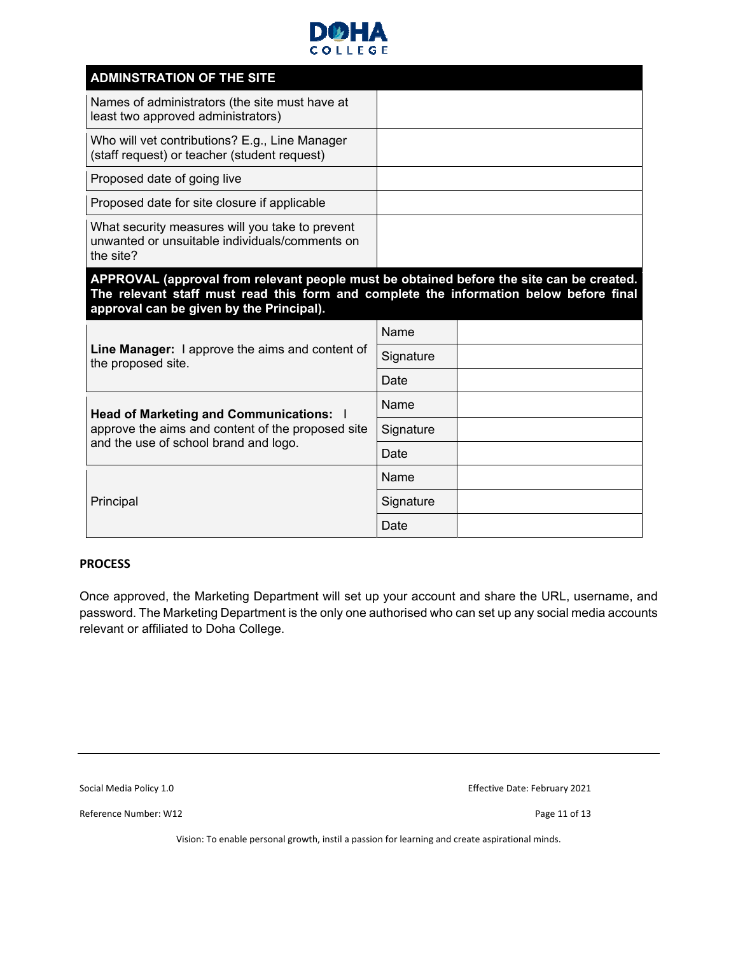

| <b>ADMINSTRATION OF THE SITE</b>                                                                                                                                                                                               |           |  |
|--------------------------------------------------------------------------------------------------------------------------------------------------------------------------------------------------------------------------------|-----------|--|
| Names of administrators (the site must have at<br>least two approved administrators)                                                                                                                                           |           |  |
| Who will vet contributions? E.g., Line Manager<br>(staff request) or teacher (student request)                                                                                                                                 |           |  |
| Proposed date of going live                                                                                                                                                                                                    |           |  |
| Proposed date for site closure if applicable                                                                                                                                                                                   |           |  |
| What security measures will you take to prevent<br>unwanted or unsuitable individuals/comments on<br>the site?                                                                                                                 |           |  |
| APPROVAL (approval from relevant people must be obtained before the site can be created.<br>The relevant staff must read this form and complete the information below before final<br>approval can be given by the Principal). |           |  |
|                                                                                                                                                                                                                                |           |  |
|                                                                                                                                                                                                                                | Name      |  |
| <b>Line Manager:</b> I approve the aims and content of                                                                                                                                                                         | Signature |  |
| the proposed site.                                                                                                                                                                                                             | Date      |  |
|                                                                                                                                                                                                                                | Name      |  |
| Head of Marketing and Communications:  <br>approve the aims and content of the proposed site                                                                                                                                   | Signature |  |
| and the use of school brand and logo.                                                                                                                                                                                          | Date      |  |
|                                                                                                                                                                                                                                | Name      |  |
| Principal                                                                                                                                                                                                                      | Signature |  |

#### **PROCESS**

Once approved, the Marketing Department will set up your account and share the URL, username, and password. The Marketing Department is the only one authorised who can set up any social media accounts relevant or affiliated to Doha College.

Reference Number: W12 **Details and COVID-2012 Page 11 of 13** Page 11 of 13

Social Media Policy 1.0 **Social Media Policy 1.0 Effective Date: February 2021**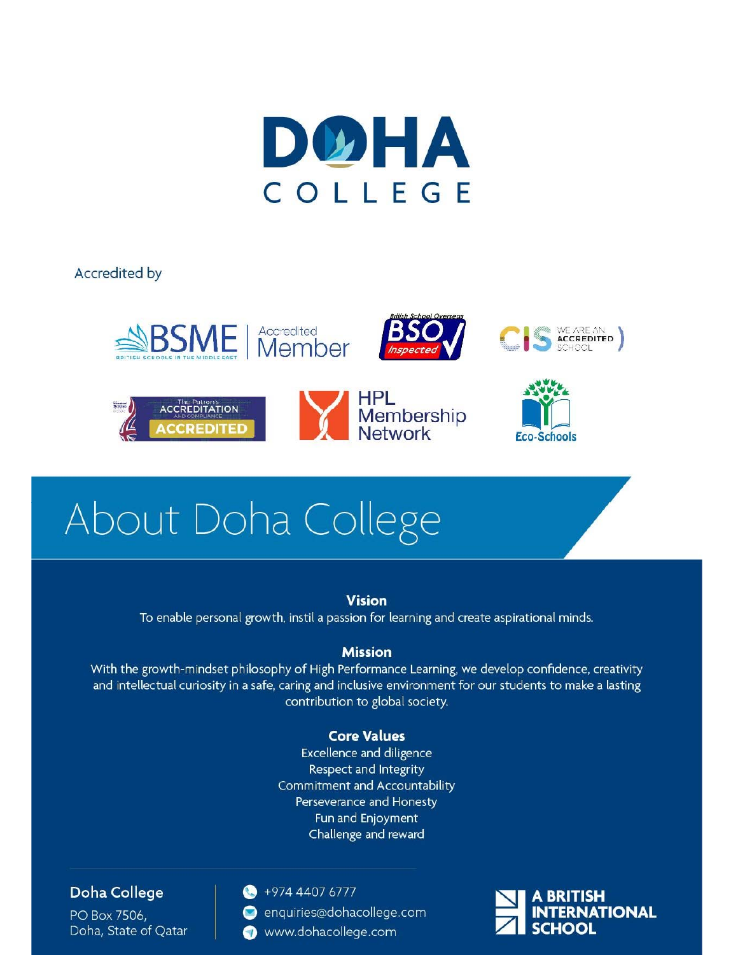

**Accredited by** 



# About Doha College

# **Vision** To enable personal growth, instil a passion for learning and create aspirational minds.

### **Mission**

With the growth-mindset philosophy of High Performance Learning, we develop confidence, creativity and intellectual curiosity in a safe, caring and inclusive environment for our students to make a lasting contribution to global society.

## **Core Values**

**Excellence and diligence** Respect and Integrity Commitment and Accountability Perseverance and Honesty Fun and Enjoyment Challenge and reward

## Doha College

PO Box 7506, Doha, State of Oatar

#### $+97444076777$

- enquiries@dohacollege.com
- www.dohacollege.com